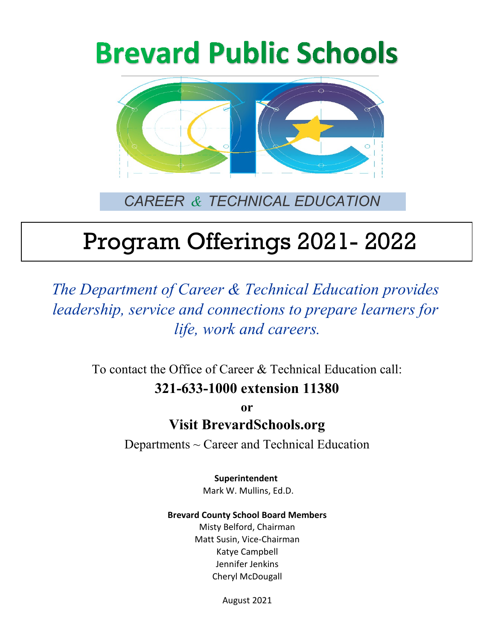# **Brevard Public Schools**



## *CAREER & TECHNICAL EDUCATION*

# Program Offerings 2021- 2022

*The Department of Career & Technical Education provides leadership, service and connections to prepare learners for life, work and careers.*

> To contact the Office of Career & Technical Education call: **321-633-1000 extension 11380**

> > **or Visit BrevardSchools.org**

Departments  $\sim$  Career and Technical Education

**Superintendent**  Mark W. Mullins, Ed.D.

### **Brevard County School Board Members**

Katye Campbell Cheryl McDougall Misty Belford, Chairman Matt Susin, Vice-Chairman Jennifer Jenkins

August 2021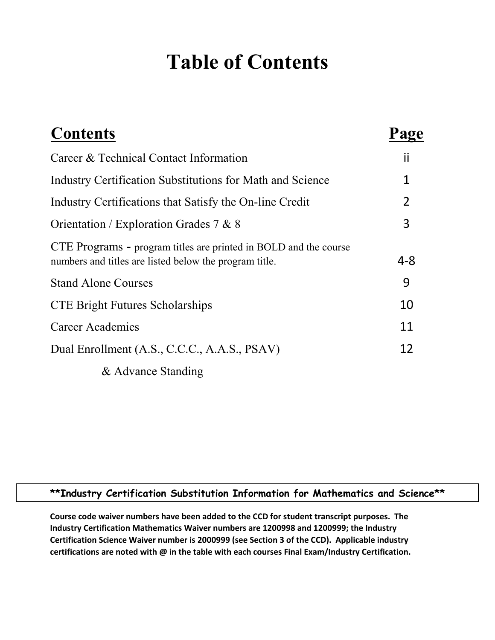## **Table of Contents**

| <b>Contents</b>                                                                                                            |                |
|----------------------------------------------------------------------------------------------------------------------------|----------------|
| Career & Technical Contact Information                                                                                     | ii             |
| Industry Certification Substitutions for Math and Science                                                                  | 1              |
| Industry Certifications that Satisfy the On-line Credit                                                                    | $\overline{2}$ |
| Orientation / Exploration Grades 7 & 8                                                                                     | 3              |
| CTE Programs - program titles are printed in BOLD and the course<br>numbers and titles are listed below the program title. | 4-8            |
| <b>Stand Alone Courses</b>                                                                                                 | 9              |
| <b>CTE Bright Futures Scholarships</b>                                                                                     | 10             |
| Career Academies                                                                                                           | 11             |
| Dual Enrollment (A.S., C.C.C., A.A.S., PSAV)                                                                               | 12             |
| & Advance Standing                                                                                                         |                |

### **\*\*Industry Certification Substitution Information for Mathematics and Science\*\***

**Course code waiver numbers have been added to the CCD for student transcript purposes. The Industry Certification Mathematics Waiver numbers are 1200998 and 1200999; the Industry Certification Science Waiver number is 2000999 (see Section 3 of the CCD). Applicable industry certifications are noted with @ in the table with each courses Final Exam/Industry Certification.**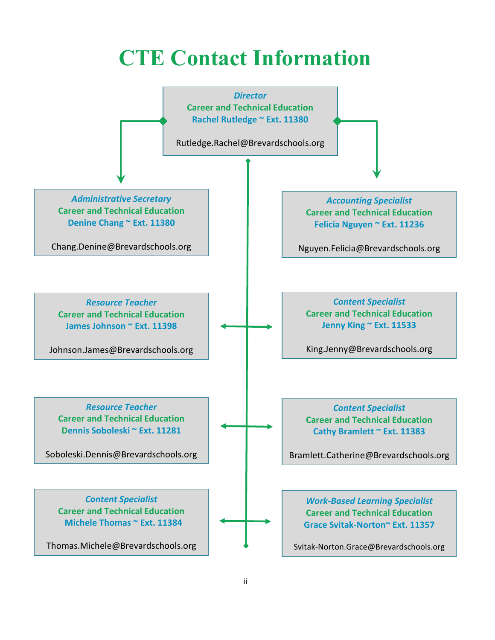## **CTE Contact Information**

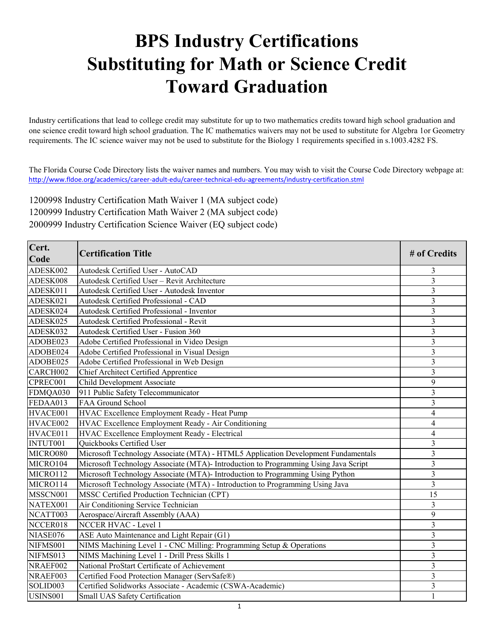## **BPS Industry Certifications Substituting for Math or Science Credit Toward Graduation**

Industry certifications that lead to college credit may substitute for up to two mathematics credits toward high school graduation and one science credit toward high school graduation. The IC mathematics waivers may not be used to substitute for Algebra 1or Geometry requirements. The IC science waiver may not be used to substitute for the Biology 1 requirements specified in s.1003.4282 FS.

The Florida Course Code Directory lists the waiver names and numbers. You may wish to visit the Course Code Directory webpage at: [http://www.fldo](http://www.fldoe.org/academics/career-adult-edu/career-technical-edu-agreements/industry-certification.stml)e.org/academics/career-adult-edu/career-technical-edu-agreements/industry-certification.stml

1200998 Industry Certification Math Waiver 1 (MA subject code) 1200999 Industry Certification Math Waiver 2 (MA subject code) 2000999 Industry Certification Science Waiver (EQ subject code)

| Cert.<br>Code | <b>Certification Title</b>                                                          | # of Credits            |
|---------------|-------------------------------------------------------------------------------------|-------------------------|
| ADESK002      | Autodesk Certified User - AutoCAD                                                   | 3                       |
| ADESK008      | Autodesk Certified User - Revit Architecture                                        | $\overline{\mathbf{3}}$ |
| ADESK011      | Autodesk Certified User - Autodesk Inventor                                         | 3                       |
| ADESK021      | Autodesk Certified Professional - CAD                                               | 3                       |
| ADESK024      | Autodesk Certified Professional - Inventor                                          | 3                       |
| ADESK025      | Autodesk Certified Professional - Revit                                             | 3                       |
| ADESK032      | Autodesk Certified User - Fusion 360                                                | $\overline{\mathbf{3}}$ |
| ADOBE023      | Adobe Certified Professional in Video Design                                        | $\overline{3}$          |
| ADOBE024      | Adobe Certified Professional in Visual Design                                       | $\overline{\mathbf{3}}$ |
| ADOBE025      | Adobe Certified Professional in Web Design                                          | $\overline{\mathbf{3}}$ |
| CARCH002      | Chief Architect Certified Apprentice                                                | 3                       |
| CPREC001      | Child Development Associate                                                         | 9                       |
| FDMQA030      | 911 Public Safety Telecommunicator                                                  | 3                       |
| FEDAA013      | FAA Ground School                                                                   | $\overline{3}$          |
| HVACE001      | HVAC Excellence Employment Ready - Heat Pump                                        | 4                       |
| HVACE002      | HVAC Excellence Employment Ready - Air Conditioning                                 | 4                       |
| HVACE011      | HVAC Excellence Employment Ready - Electrical                                       | 4                       |
| INTUT001      | Quickbooks Certified User                                                           | 3                       |
| MICRO080      | Microsoft Technology Associate (MTA) - HTML5 Application Development Fundamentals   | 3                       |
| MICRO104      | Microsoft Technology Associate (MTA)- Introduction to Programming Using Java Script | $\overline{\mathbf{3}}$ |
| MICRO112      | Microsoft Technology Associate (MTA)- Introduction to Programming Using Python      | $\overline{3}$          |
| MICRO114      | Microsoft Technology Associate (MTA) - Introduction to Programming Using Java       | 3                       |
| MSSCN001      | MSSC Certified Production Technician (CPT)                                          | 15                      |
| NATEX001      | Air Conditioning Service Technician                                                 | 3                       |
| NCATT003      | Aerospace/Aircraft Assembly (AAA)                                                   | 9                       |
| NCCER018      | NCCER HVAC - Level 1                                                                | 3                       |
| NIASE076      | ASE Auto Maintenance and Light Repair (G1)                                          | $\overline{3}$          |
| NIFMS001      | NIMS Machining Level 1 - CNC Milling: Programming Setup & Operations                | $\overline{3}$          |
| NIFMS013      | NIMS Machining Level 1 - Drill Press Skills 1                                       | $\overline{3}$          |
| NRAEF002      | National ProStart Certificate of Achievement                                        | $\overline{\mathbf{3}}$ |
| NRAEF003      | Certified Food Protection Manager (ServSafe®)                                       | 3                       |
| SOLID003      | Certified Solidworks Associate - Academic (CSWA-Academic)                           | $\overline{\mathbf{3}}$ |
| USINS001      | Small UAS Safety Certification                                                      | 1                       |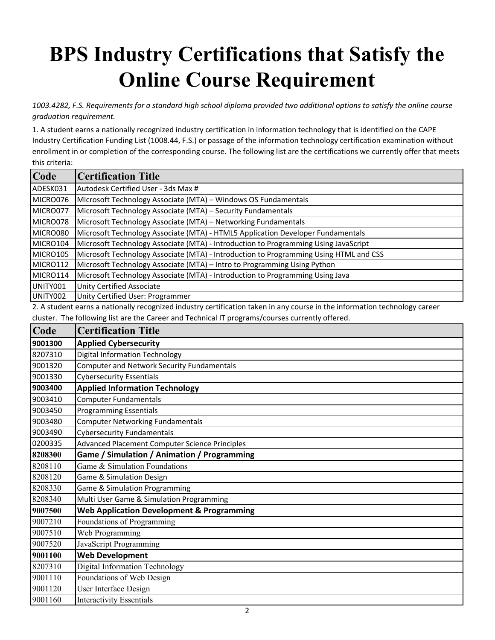# **BPS Industry Certifications that Satisfy the Online Course Requirement**

*1003.4282, F.S. Requirements for a standard high school diploma provided two additional options to satisfy the online course graduation requirement.*

1. A student earns a nationally recognized industry certification in information technology that is identified on the CAPE Industry Certification Funding List (1008.44, F.S.) or passage of the information technology certification examination without enrollment in or completion of the corresponding course. The following list are the certifications we currently offer that meets this criteria:

| Code     | <b>Certification Title</b>                                                                                                 |
|----------|----------------------------------------------------------------------------------------------------------------------------|
| ADESK031 | Autodesk Certified User - 3ds Max #                                                                                        |
| MICRO076 | Microsoft Technology Associate (MTA) - Windows OS Fundamentals                                                             |
| MICRO077 | Microsoft Technology Associate (MTA) - Security Fundamentals                                                               |
| MICRO078 | Microsoft Technology Associate (MTA) - Networking Fundamentals                                                             |
| MICRO080 | Microsoft Technology Associate (MTA) - HTML5 Application Developer Fundamentals                                            |
| MICRO104 | Microsoft Technology Associate (MTA) - Introduction to Programming Using JavaScript                                        |
| MICRO105 | Microsoft Technology Associate (MTA) - Introduction to Programming Using HTML and CSS                                      |
| MICRO112 | Microsoft Technology Associate (MTA) - Intro to Programming Using Python                                                   |
| MICRO114 | Microsoft Technology Associate (MTA) - Introduction to Programming Using Java                                              |
| UNITY001 | <b>Unity Certified Associate</b>                                                                                           |
| UNITY002 | Unity Certified User: Programmer                                                                                           |
|          | 2. A student earns a nationally recognized industry certification taken in any course in the information technology career |
|          | cluster. The following list are the Career and Technical IT programs/courses currently offered.                            |
| Code     | <b>Certification Title</b>                                                                                                 |
| 9001300  | <b>Applied Cybersecurity</b>                                                                                               |
| 8207310  | <b>Digital Information Technology</b>                                                                                      |
| 9001320  | <b>Computer and Network Security Fundamentals</b>                                                                          |
| 9001330  | <b>Cybersecurity Essentials</b>                                                                                            |
| 9003400  | <b>Applied Information Technology</b>                                                                                      |
| 9003410  | <b>Computer Fundamentals</b>                                                                                               |
| 9003450  | <b>Programming Essentials</b>                                                                                              |
| 9003480  | <b>Computer Networking Fundamentals</b>                                                                                    |
| 9003490  | <b>Cybersecurity Fundamentals</b>                                                                                          |
| 0200335  | Advanced Placement Computer Science Principles                                                                             |
| 8208300  | Game / Simulation / Animation / Programming                                                                                |
| 8208110  | Game & Simulation Foundations                                                                                              |
| 8208120  | Game & Simulation Design                                                                                                   |
| 8208330  | Game & Simulation Programming                                                                                              |
| 8208340  | Multi User Game & Simulation Programming                                                                                   |
| 9007500  | <b>Web Application Development &amp; Programming</b>                                                                       |
| 9007210  | Foundations of Programming                                                                                                 |
| 9007510  | Web Programming                                                                                                            |
| 9007520  | JavaScript Programming                                                                                                     |
| 9001100  | <b>Web Development</b>                                                                                                     |
| 8207310  | Digital Information Technology                                                                                             |
| 9001110  | Foundations of Web Design                                                                                                  |
| 9001120  | <b>User Interface Design</b>                                                                                               |
| 9001160  | <b>Interactivity Essentials</b>                                                                                            |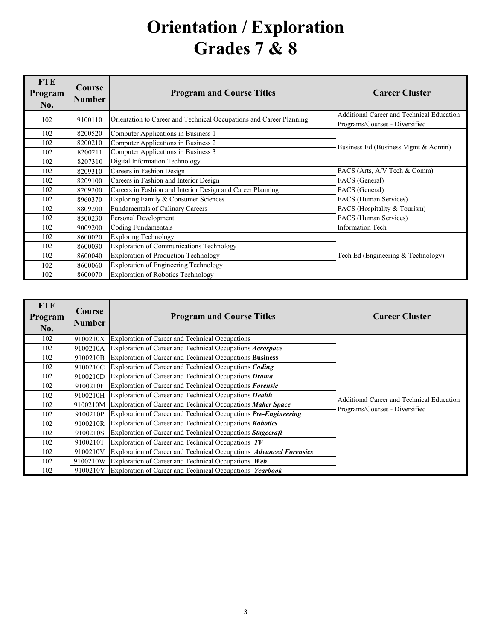## **Orientation / Exploration Grades 7 & 8**

| <b>FTE</b><br>Program<br>No. | Course<br><b>Number</b> | <b>Program and Course Titles</b>                                    | <b>Career Cluster</b>                                                              |
|------------------------------|-------------------------|---------------------------------------------------------------------|------------------------------------------------------------------------------------|
| 102                          | 9100110                 | Orientation to Career and Technical Occupations and Career Planning | <b>Additional Career and Technical Education</b><br>Programs/Courses - Diversified |
| 102                          | 8200520                 | Computer Applications in Business 1                                 |                                                                                    |
| 102                          | 8200210                 | Computer Applications in Business 2                                 | Business Ed (Business Mgmt & Admin)                                                |
| 102                          | 8200211                 | Computer Applications in Business 3                                 |                                                                                    |
| 102                          | 8207310                 | Digital Information Technology                                      |                                                                                    |
| 102                          | 8209310                 | Careers in Fashion Design                                           | FACS (Arts, A/V Tech & Comm)                                                       |
| 102                          | 8209100                 | Careers in Fashion and Interior Design                              | FACS (General)                                                                     |
| 102                          | 8209200                 | Careers in Fashion and Interior Design and Career Planning          | FACS (General)                                                                     |
| 102                          | 8960370                 | Exploring Family & Consumer Sciences                                | FACS (Human Services)                                                              |
| 102                          | 8809200                 | Fundamentals of Culinary Careers                                    | FACS (Hospitality & Tourism)                                                       |
| 102                          | 8500230                 | Personal Development                                                | FACS (Human Services)                                                              |
| 102                          | 9009200                 | Coding Fundamentals                                                 | <b>Information Tech</b>                                                            |
| 102                          | 8600020                 | <b>Exploring Technology</b>                                         |                                                                                    |
| 102                          | 8600030                 | <b>Exploration of Communications Technology</b>                     |                                                                                    |
| 102                          | 8600040                 | <b>Exploration of Production Technology</b>                         | Tech Ed (Engineering & Technology)                                                 |
| 102                          | 8600060                 | <b>Exploration of Engineering Technology</b>                        |                                                                                    |
| 102                          | 8600070                 | <b>Exploration of Robotics Technology</b>                           |                                                                                    |

| <b>FTE</b><br>Program<br>No. | Course<br><b>Number</b> | <b>Program and Course Titles</b>                                   | <b>Career Cluster</b>                     |
|------------------------------|-------------------------|--------------------------------------------------------------------|-------------------------------------------|
| 102                          | 9100210X                | Exploration of Career and Technical Occupations                    |                                           |
| 102                          | 9100210A                | Exploration of Career and Technical Occupations <i>Aerospace</i>   |                                           |
| 102                          | 9100210B                | Exploration of Career and Technical Occupations Business           |                                           |
| 102                          | 9100210C                | Exploration of Career and Technical Occupations Coding             |                                           |
| 102                          | 9100210D                | Exploration of Career and Technical Occupations Drama              |                                           |
| 102                          | 9100210F                | Exploration of Career and Technical Occupations Forensic           |                                           |
| 102                          | 9100210H                | Exploration of Career and Technical Occupations Health             | Additional Career and Technical Education |
| 102                          | 9100210M                | Exploration of Career and Technical Occupations Maker Space        | Programs/Courses - Diversified            |
| 102                          | 9100210P                | Exploration of Career and Technical Occupations Pre-Engineering    |                                           |
| 102                          | 9100210R                | Exploration of Career and Technical Occupations Robotics           |                                           |
| 102                          | 9100210S                | Exploration of Career and Technical Occupations Stagecraft         |                                           |
| 102                          | 9100210T                | Exploration of Career and Technical Occupations $TV$               |                                           |
| 102                          | 9100210V                | Exploration of Career and Technical Occupations Advanced Forensics |                                           |
| 102                          | 9100210W                | Exploration of Career and Technical Occupations Web                |                                           |
| 102                          | 9100210Y                | Exploration of Career and Technical Occupations Yearbook           |                                           |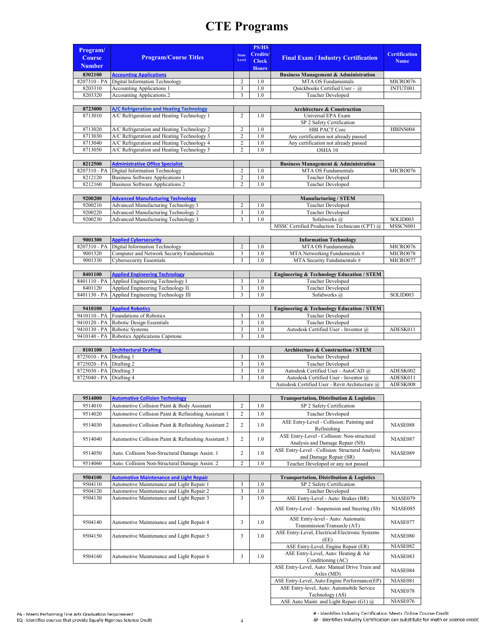| Program/<br><b>Course</b><br><b>Number</b> | <b>Program/Course Titles</b>                                                | <b>State</b><br>Level   | <b>PS/HS</b><br><b>Credits/</b><br><b>Clock</b><br><b>Hours</b> | <b>Final Exam / Industry Certification</b>                                  | <b>Certification</b><br><b>Name</b> |
|--------------------------------------------|-----------------------------------------------------------------------------|-------------------------|-----------------------------------------------------------------|-----------------------------------------------------------------------------|-------------------------------------|
| 8302100                                    | <b>Accounting Applications</b>                                              |                         |                                                                 | <b>Business Management &amp; Administration</b>                             |                                     |
| 8207310 - PA                               | Digital Information Technology                                              | $\overline{c}$          | 1.0                                                             | MTA OS Fundamentals                                                         | MICRO076                            |
| 8203310                                    | <b>Accounting Applications 1</b>                                            | 3                       | 1.0                                                             | Quickbooks Certified User - @                                               | INTUT001                            |
| 8203320                                    | <b>Accounting Applications 2</b>                                            | 3                       | 1.0                                                             | Teacher Developed                                                           |                                     |
|                                            |                                                                             |                         |                                                                 |                                                                             |                                     |
| 8723000                                    | A/C Refrigeration and Heating Technology                                    |                         |                                                                 | <b>Architecture &amp; Construction</b>                                      |                                     |
| 8713010                                    | A/C Refrigeration and Heating Technology 1                                  | $\overline{2}$          | 1.0                                                             | Universal EPA Exam                                                          |                                     |
|                                            |                                                                             |                         |                                                                 | SP 2 Safety Certification                                                   |                                     |
| 8713020                                    | A/C Refrigeration and Heating Technology 2                                  | $\overline{c}$          | 1.0                                                             | HBI PACT Core                                                               | HBINS004                            |
| 8713030                                    | A/C Refrigeration and Heating Technology 3                                  | $\overline{c}$          | 1.0                                                             | Any certification not already passed                                        |                                     |
| 8713040                                    | A/C Refrigeration and Heating Technology 4                                  | $\overline{\mathbf{c}}$ | 1.0                                                             | Any certification not already passed                                        |                                     |
| 8713050                                    | A/C Refrigeration and Heating Technology 5                                  | $\overline{c}$          | 1.0                                                             | OSHA 10                                                                     |                                     |
|                                            |                                                                             |                         |                                                                 |                                                                             |                                     |
| 8212500                                    | <b>Administrative Office Specialist</b>                                     |                         |                                                                 | <b>Business Management &amp; Administration</b>                             |                                     |
| 8207310 - PA                               | Digital Information Technology                                              | 2<br>$\overline{c}$     | 1.0                                                             | MTA OS Fundamentals                                                         | MICRO076                            |
| 8212120<br>8212160                         | <b>Business Software Applications 1</b><br>Business Software Applications 2 | $\overline{2}$          | 1.0<br>1.0                                                      | Teacher Developed<br>Teacher Developed                                      |                                     |
|                                            |                                                                             |                         |                                                                 |                                                                             |                                     |
| 9200200                                    | <b>Advanced Manufacturing Technology</b>                                    |                         |                                                                 | <b>Manufacturing / STEM</b>                                                 |                                     |
| 9200210                                    | Advanced Manufacturing Technology 1                                         | $\overline{c}$          | 1.0                                                             | <b>Teacher Developed</b>                                                    |                                     |
| 9200220                                    | Advanced Manufacturing Technology 2                                         | $\mathfrak{Z}$          | 1.0                                                             | Teacher Developed                                                           |                                     |
| 9200230                                    | Advanced Manufacturing Technology 3                                         | 3                       | 1.0                                                             | Solidworks @                                                                | SOLID003                            |
|                                            |                                                                             |                         |                                                                 | MSSC Certified Production Technician (CPT) @                                | MSSCN001                            |
|                                            |                                                                             |                         |                                                                 |                                                                             |                                     |
| 9001300                                    | <b>Applied Cybersecurity</b>                                                |                         |                                                                 | <b>Information Technology</b>                                               |                                     |
| 8207310 - PA                               | Digital Information Technology                                              | $\sqrt{2}$              | 1.0                                                             | MTA OS Fundamentals                                                         | MICRO076                            |
| 9001320                                    | Computer and Network Security Fundamentals                                  | $\mathfrak{Z}$          | 1.0                                                             | MTA Networking Fundamentals #                                               | MICRO078                            |
| 9001330                                    | Cybersecurity Essentials                                                    | 3                       | 1.0                                                             | MTA Security Fundamentals #                                                 | MICRO077                            |
|                                            |                                                                             |                         |                                                                 |                                                                             |                                     |
| 8401100                                    | <b>Applied Engineering Technology</b>                                       |                         |                                                                 | <b>Engineering &amp; Technology Education / STEM</b>                        |                                     |
| 8401110 - PA                               | Applied Engineering Technology I                                            | 3                       | 1.0                                                             | Teacher Developed                                                           |                                     |
| 8401120                                    | Applied Engineering Technology II                                           | 3                       | 1.0                                                             | Teacher Developed                                                           |                                     |
| 8401130 - PA                               | Applied Engineering Technology III                                          | 3                       | 1.0                                                             | Solidworks @                                                                | SOLID003                            |
|                                            |                                                                             |                         |                                                                 |                                                                             |                                     |
| 9410100                                    | <b>Applied Robotics</b>                                                     |                         |                                                                 | <b>Engineering &amp; Technology Education / STEM</b>                        |                                     |
| 9410110 - PA                               | Foundations of Robotics                                                     | 3                       | 1.0                                                             | Teacher Developed                                                           |                                     |
| 9410120 - PA                               | Robotic Design Essentials                                                   | 3                       | 1.0                                                             | Teacher Developed                                                           |                                     |
| 9410130 - PA                               | Robotic Systems                                                             | 3                       | 1.0                                                             | Autodesk Certified User - Inventor @                                        | ADESK011                            |
| 9410140 - PA                               | Robotics Applications Capstone                                              | 3                       | 1.0                                                             |                                                                             |                                     |
|                                            |                                                                             |                         |                                                                 |                                                                             |                                     |
| 8101100                                    | <b>Architectural Drafting</b>                                               |                         |                                                                 | <b>Architecture &amp; Construction / STEM</b>                               |                                     |
| 8725010 - PA                               | Drafting 1                                                                  | 3                       | 1.0                                                             | Teacher Developed                                                           |                                     |
| 8725020 - PA Drafting 2                    |                                                                             | 3                       | 1.0                                                             | Teacher Developed                                                           |                                     |
| 8725030 - PA                               | Drafting 3                                                                  | 3<br>3                  | 1.0                                                             | Autodesk Certified User - AutoCAD @<br>Autodesk Certified User - Inventor @ | ADESK002                            |
| 8725040 - PA                               | Drafting 4                                                                  |                         | 1.0                                                             | Autodesk Certified User - Revit Architecture @                              | ADESK011<br>ADESK008                |
|                                            |                                                                             |                         |                                                                 |                                                                             |                                     |
| 9514000                                    | <b>Automotive Collision Technology</b>                                      |                         |                                                                 | Transportation, Distribution & Logistics                                    |                                     |
| 9514010                                    | Automotive Collision Paint & Body Assistant                                 | $\overline{c}$          | $1.0\,$                                                         | SP 2 Safety Certification                                                   |                                     |
|                                            |                                                                             |                         |                                                                 |                                                                             |                                     |
| 9514020                                    | Automotive Collision Paint & Refinishing Assistant 1                        | $\overline{c}$          | 1.0                                                             | Teacher Developed                                                           |                                     |
| 9514030                                    | Automotive Collision Paint & Refinishing Assistant 2                        | 2                       | 1.0                                                             | ASE Entry-Level - Collision: Painting and<br>Refinishing                    | NIASE088                            |
|                                            |                                                                             |                         |                                                                 | ASE Entry-Level - Collision: Non-structural                                 |                                     |
| 9514040                                    | Automotive Collision Paint & Refinishing Assistant 3                        | 2                       | 1.0                                                             | Analysis and Damage Repair (NS)                                             | NIASE087                            |
|                                            |                                                                             |                         |                                                                 | ASE Entry-Level - Collision: Structural Analysis                            |                                     |
| 9514050                                    | Auto. Collision Non-Structural Damage Assist. 1                             | 2                       | 1.0                                                             | and Damage Repair (SR)                                                      | NIASE089                            |
| 9514060                                    | Auto. Collision Non-Structural Damage Assist. 2                             | $\overline{\mathbf{c}}$ | 1.0                                                             | Teacher Developed or any not passed                                         |                                     |
|                                            |                                                                             |                         |                                                                 |                                                                             |                                     |
| 9504100                                    | <b>Automotive Maintenance and Light Repair</b>                              |                         |                                                                 | Transportation, Distribution & Logistics                                    |                                     |
| 9504110                                    | Automotive Maintenance and Light Repair 1                                   | 3                       | 1.0                                                             | SP 2 Safety Certification                                                   |                                     |
| 9504120                                    | Automotive Maintenance and Light Repair 2                                   | $\overline{\mathbf{3}}$ | 1.0                                                             | Teacher Developed                                                           |                                     |
| 9504130                                    | Automotive Maintenance and Light Repair 3                                   | 3                       | 1.0                                                             | ASE Entry-Level - Auto: Brakes (BR)                                         | NIASE079                            |
|                                            |                                                                             |                         |                                                                 | ASE Entry-Level - Suspension and Steering (SS)                              | NIASE085                            |
|                                            |                                                                             |                         |                                                                 | ASE Entry-level - Auto: Automatic                                           |                                     |
| 9504140                                    | Automotive Maintenance and Light Repair 4                                   | 3                       | 1.0                                                             | Transmission/Transaxle (AT)                                                 | NIASE077                            |
|                                            |                                                                             |                         |                                                                 | ASE Entry-Level, Electrical/Electronic Systems                              |                                     |
| 9504150                                    | Automotive Maintenance and Light Repair 5                                   | 3                       | 1.0                                                             | (EE)                                                                        | NIASE080                            |
|                                            |                                                                             |                         |                                                                 | ASE Entry-Level, Engine Repair (ER)                                         | NIASE082                            |
|                                            |                                                                             |                         |                                                                 | ASE Entry-Level, Auto: Heating & Air                                        |                                     |
| 9504160                                    | Automotive Maintenance and Light Repair 6                                   | 3                       | 1.0                                                             | Conditioning (AC)                                                           | NIASE083                            |
|                                            |                                                                             |                         |                                                                 | ASE Entry-Level, Auto: Manual Drive Train and                               |                                     |
|                                            |                                                                             |                         |                                                                 | Axles (MD)                                                                  | NIASE084                            |
|                                            |                                                                             |                         |                                                                 | ASE Entry-Level, Auto:Engine Performance(EP)                                | NIASE081                            |
|                                            |                                                                             |                         |                                                                 | ASE Entry-level, Auto: Automobile Service                                   |                                     |
|                                            |                                                                             |                         |                                                                 | Technology (AS)                                                             | NIASE078                            |
|                                            |                                                                             |                         |                                                                 | ASE Auto Maint. and Light Repair (G1) @                                     | NIASE076                            |

PA - Meets Performing Fine Arts Graduation Requirement EQ - Identifies courses that provide Equally Rigorous Science Credit # - Identifies Industry Certification Meets Online Course Credit<br>@ - Identifies Industry Certification can substitute for math or science credit

ASE Auto Maint. and Light Repair (G1) @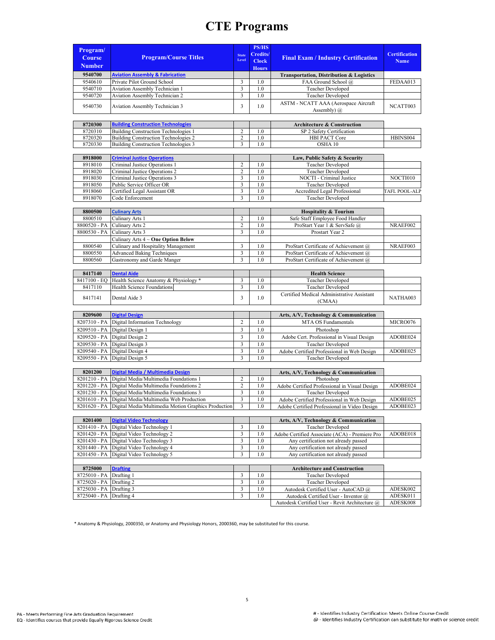|               |                                                                    |                         | <b>PS/HS</b>    |                                                |                      |
|---------------|--------------------------------------------------------------------|-------------------------|-----------------|------------------------------------------------|----------------------|
| Program/      |                                                                    | <b>State</b>            | <b>Credits/</b> |                                                | <b>Certification</b> |
| <b>Course</b> | <b>Program/Course Titles</b>                                       | Level                   | <b>Clock</b>    | <b>Final Exam / Industry Certification</b>     | <b>Name</b>          |
| <b>Number</b> |                                                                    |                         | <b>Hours</b>    |                                                |                      |
| 9540700       | <b>Aviation Assembly &amp; Fabrication</b>                         |                         |                 | Transportation, Distribution & Logistics       |                      |
| 9540610       | Private Pilot Ground School                                        | 3                       | 1.0             | FAA Ground School @                            | FEDAA013             |
| 9540710       | Aviation Assembly Technician 1                                     | 3                       | 1.0             | Teacher Developed                              |                      |
| 9540720       | Aviation Assembly Technician 2                                     | 3                       | 1.0             | Teacher Developed                              |                      |
|               |                                                                    |                         |                 | ASTM - NCATT AAA (Aerospace Aircraft           |                      |
| 9540730       | Aviation Assembly Technician 3                                     | 3                       | 1.0             | Assembly) $(a)$                                | NCATT003             |
|               |                                                                    |                         |                 |                                                |                      |
| 8720300       | <b>Building Construction Technologies</b>                          |                         |                 | <b>Architecture &amp; Construction</b>         |                      |
| 8720310       | Building Construction Technologies 1                               | $\overline{c}$          | 1.0             | SP 2 Safety Certification                      |                      |
| 8720320       | Building Construction Technologies 2                               | $\overline{c}$          | 1.0             | HBI PACT Core                                  | HBINS004             |
| 8720330       | Building Construction Technologies 3                               | 3                       | 1.0             | OSHA 10                                        |                      |
|               |                                                                    |                         |                 |                                                |                      |
| 8918000       | <b>Criminal Justice Operations</b>                                 |                         |                 | Law, Public Safety & Security                  |                      |
| 8918010       | Criminal Justice Operations 1                                      | $\mathfrak{2}$          | 1.0             | Teacher Developed                              |                      |
| 8918020       | Criminal Justice Operations 2                                      | $\mathfrak{2}$          | 1.0             | Teacher Developed                              |                      |
| 8918030       | Criminal Justice Operations 3                                      | 3                       | 1.0             | NOCTI - Criminal Justice                       | NOCTI010             |
| 8918050       | Public Service Officer OR                                          | 3                       | 1.0             | <b>Teacher Developed</b>                       |                      |
| 8918060       | Certified Legal Assistant OR                                       | 3                       | 1.0             | Accredited Legal Professional                  | TAFL POOL-ALP        |
| 8918070       | Code Enforcement                                                   | 3                       | 1.0             | Teacher Developed                              |                      |
|               |                                                                    |                         |                 |                                                |                      |
| 8800500       | <b>Culinary Arts</b>                                               |                         |                 | <b>Hospitality &amp; Tourism</b>               |                      |
| 8800510       | Culinary Arts 1                                                    | $\overline{c}$          | 1.0             | Safe Staff Employee Food Handler               |                      |
| 8800520 - PA  | Culinary Arts 2                                                    | $\overline{2}$          | 1.0             | ProStart Year 1 & ServSafe @                   | NRAEF002             |
| 8800530 - PA  | Culinary Arts 3                                                    | 3                       | 1.0             | Prostart Year 2                                |                      |
|               | Culinary Arts 4 ~ One Option Below                                 |                         |                 |                                                |                      |
| 8800540       | Culinary and Hospitality Management                                | 3                       | 1.0             | ProStart Certificate of Achievement @          | NRAEF003             |
| 8800550       | <b>Advanced Baking Techniques</b>                                  | $\mathfrak{Z}$          | 1.0             | ProStart Certificate of Achievement @          |                      |
| 8800560       | Gastronomy and Garde Manger                                        | 3                       | 1.0             | ProStart Certificate of Achievement @          |                      |
|               |                                                                    |                         |                 |                                                |                      |
| 8417140       | <b>Dental Aide</b>                                                 |                         |                 | <b>Health Science</b>                          |                      |
| 8417100 - EQ  | Health Science Anatomy & Physiology *                              | 3                       | 1.0             | Teacher Developed                              |                      |
| 8417110       | Health Science Foundations                                         | 3                       | 1.0             | Teacher Developed                              |                      |
|               |                                                                    | 3                       |                 | Certified Medical Administrative Assistant     |                      |
| 8417141       | Dental Aide 3                                                      |                         | 1.0             | (CMAA)                                         | NATHA003             |
|               |                                                                    |                         |                 |                                                |                      |
| 8209600       | <b>Digital Design</b>                                              |                         |                 | Arts, A/V, Technology & Communication          |                      |
| 8207310 - PA  | Digital Information Technology                                     | $\overline{2}$          | 1.0             | MTA OS Fundamentals                            | MICRO076             |
| 8209510 - PA  | Digital Design 1                                                   | 3                       | 1.0             | Photoshop                                      |                      |
| 8209520 - PA  | Digital Design 2                                                   | 3                       | 1.0             | Adobe Cert. Professional in Visual Design      | ADOBE024             |
| 8209530 - PA  | Digital Design 3                                                   | 3                       | 1.0             | <b>Teacher Developed</b>                       |                      |
| 8209540 - PA  | Digital Design 4                                                   | 3                       | 1.0             | Adobe Certified Professional in Web Design     | ADOBE025             |
| 8209550 - PA  | Digital Design 5                                                   | 3                       | 1.0             | Teacher Developed                              |                      |
|               |                                                                    |                         |                 |                                                |                      |
| 8201200       | Digital Media / Multimedia Design                                  |                         |                 | Arts, A/V, Technology & Communication          |                      |
| 8201210 - PA  | Digital Media/Multimedia Foundations 1                             | $\overline{c}$          | 1.0             | Photoshop                                      |                      |
| 8201220 - PA  | Digital Media/Multimedia Foundations 2                             | $\overline{c}$          | 1.0             | Adobe Certified Professional in Visual Design  | ADOBE024             |
| 8201230 - PA  | Digital Media/Multimedia Foundations 3                             | 3                       | 1.0             | <b>Teacher Developed</b>                       |                      |
| 8201610 - PA  | Digital Media/Multimedia Web Production                            | $\overline{\mathbf{3}}$ | 1.0             | Adobe Certified Professional in Web Design     | ADOBE025             |
|               | 8201620 - PA   Digital Media/Multimedia Motion Graphics Production | 3                       | 1.0             | Adobe Certified Professional in Video Design   | ADOBE023             |
|               |                                                                    |                         |                 |                                                |                      |
| 8201400       | <b>Digital Video Technology</b>                                    |                         |                 | Arts, A/V, Technology & Communication          |                      |
| 8201410 - PA  | Digital Video Technology 1                                         | 3                       | 1.0             | <b>Teacher Developed</b>                       |                      |
| 8201420 - PA  | Digital Video Technology 2                                         | 3                       | 1.0             | Adobe Certified Associate (ACA) - Premiere Pro | ADOBE018             |
| 8201430 - PA  | Digital Video Technology 3                                         | 3                       | 1.0             | Any certification not already passed           |                      |
| 8201440 - PA  | Digital Video Technology 4                                         | 3                       | 1.0             | Any certification not already passed           |                      |
| 8201450 - PA  | Digital Video Technology 5                                         | 3                       | 1.0             | Any certification not already passed           |                      |
|               |                                                                    |                         |                 |                                                |                      |
| 8725000       | <b>Drafting</b>                                                    |                         |                 | <b>Architecture and Construction</b>           |                      |
| 8725010 - PA  | Drafting 1                                                         | 3                       | 1.0             | Teacher Developed                              |                      |
| 8725020 - PA  | Drafting 2                                                         | 3                       | 1.0             | <b>Teacher Developed</b>                       |                      |
| 8725030 - PA  | Drafting 3                                                         | 3                       | 1.0             | Autodesk Certified User - AutoCAD @            | ADESK002             |
| 8725040 - PA  | Drafting 4                                                         | 3                       | 1.0             | Autodesk Certified User - Inventor @           | ADESK011             |
|               |                                                                    |                         |                 |                                                |                      |

\* Anatomy & Physiology, 2000350, or Anatomy and Physiology Honors, 2000360, may be substituted for this course.

Autodesk Certified User - Revit Architecture @ ADESK008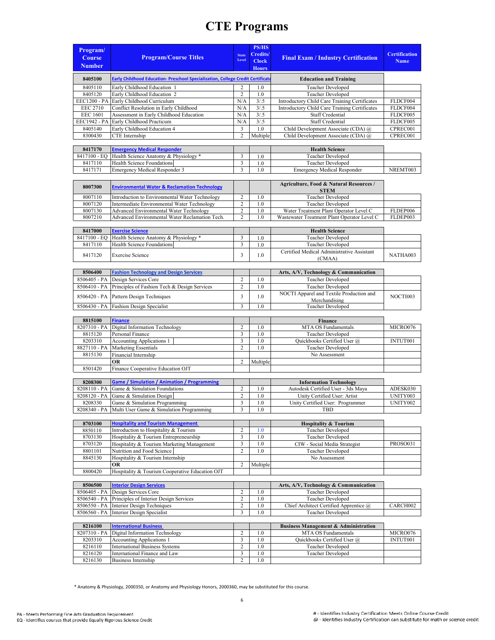| Program/                       |                                                                                        |                       | <b>PS/HS</b><br>Credits/ |                                                                                       | <b>Certification</b> |
|--------------------------------|----------------------------------------------------------------------------------------|-----------------------|--------------------------|---------------------------------------------------------------------------------------|----------------------|
| <b>Course</b><br><b>Number</b> | <b>Program/Course Titles</b>                                                           | <b>State</b><br>Level | <b>Clock</b>             | <b>Final Exam / Industry Certification</b>                                            | <b>Name</b>          |
| 8405100                        | Early Childhood Education- Preschool Specialization, College Credit Certificate        |                       | <b>Hours</b>             |                                                                                       |                      |
|                                |                                                                                        |                       |                          | <b>Education and Training</b>                                                         |                      |
| 8405110<br>8405120             | Early Childhood Education 1<br>Early Childhood Education 2                             | 2<br>$\overline{c}$   | 1.0<br>1.0               | Teacher Developed<br>Teacher Developed                                                |                      |
| EEC1200 - PA                   | Early Childhood Curriculum                                                             | N/A                   | 3/0.5                    | Introductory Child Care Training Certificates                                         | FLDCF004             |
| <b>EEC 2710</b>                | Conflict Resolution in Early Childhood                                                 | N/A                   | 3/0.5                    | Introductory Child Care Training Certificates                                         | FLDCF004             |
| <b>EEC 1601</b>                | Assessment in Early Childhood Education                                                | N/A                   | 3/0.5                    | Staff Credential                                                                      | FLDCF005             |
| EEC1942 - PA                   | Early Childhood Practicum                                                              | N/A                   | 3/0.5                    | Staff Credential                                                                      | FLDCF005             |
| 8405140                        | Early Childhood Education 4                                                            | 3                     | 1.0                      | Child Development Associate (CDA) @                                                   | CPREC001             |
| 8300430                        | CTE Internship                                                                         | $\overline{c}$        | Multiple                 | Child Development Associate (CDA) @                                                   | CPREC001             |
| 8417170                        | <b>Emergency Medical Responder</b>                                                     |                       |                          | <b>Health Science</b>                                                                 |                      |
| 8417100 - EQ                   | Health Science Anatomy & Physiology *                                                  | 3                     | 1.0                      | <b>Teacher Developed</b>                                                              |                      |
| 8417110                        | Health Science Foundations                                                             | 3                     | 1.0                      | Teacher Developed                                                                     |                      |
| 8417171                        | <b>Emergency Medical Responder 3</b>                                                   | 3                     | 1.0                      | <b>Emergency Medical Responder</b>                                                    | NREMT003             |
|                                |                                                                                        |                       |                          |                                                                                       |                      |
| 8007300                        | <b>Environmental Water &amp; Reclamation Technology</b>                                |                       |                          | Agriculture, Food & Natural Resources /<br><b>STEM</b>                                |                      |
| 8007110                        | Introduction to Environmental Water Technology                                         | $\overline{c}$        | 1.0                      | Teacher Developed                                                                     |                      |
| 8007120                        | Intermediate Environmental Water Technology                                            | $\overline{c}$        | 1.0                      | Teacher Developed                                                                     |                      |
| 8007130                        | Advanced Environmental Water Technology                                                | $\overline{c}$        | 1.0                      | Water Treatment Plant Operator Level C<br>Wastewater Treatment Plant Operator Level C | FLDEP006             |
| 8007210                        | Advanced Environmental Water Reclamation Tech.                                         | $\overline{c}$        | 1.0                      |                                                                                       | FLDEP003             |
| 8417000                        | <b>Exercise Science</b>                                                                |                       |                          | <b>Health Science</b>                                                                 |                      |
| 8417100 - EQ                   | Health Science Anatomy & Physiology *                                                  | 3                     | 1.0                      | <b>Teacher Developed</b>                                                              |                      |
| 8417110                        | Health Science Foundations                                                             | 3                     | 1.0                      | Teacher Developed                                                                     |                      |
| 8417120                        | <b>Exercise Science</b>                                                                | 3                     | 1.0                      | Certified Medical Administrative Assistant                                            | NATHA003             |
|                                |                                                                                        |                       |                          | (CMAA)                                                                                |                      |
| 8506400                        | <b>Fashion Technology and Design Services</b>                                          |                       |                          | Arts, A/V, Technology & Communication                                                 |                      |
| 8506405 - PA                   | Design Services Core                                                                   | $\overline{c}$        | 1.0                      | Teacher Developed                                                                     |                      |
| 8506410 - PA                   | Principles of Fashion Tech & Design Services                                           | $\overline{c}$        | 1.0                      | Teacher Developed                                                                     |                      |
| 8506420 - PA                   | Pattern Design Techniques                                                              | 3                     | 1.0                      | NOCTI Apparel and Textile Production and                                              | NOCTI003             |
| 8506430 - PA                   | <b>Fashion Design Specialist</b>                                                       | 3                     | 1.0                      | Merchandising<br>Teacher Developed                                                    |                      |
|                                |                                                                                        |                       |                          |                                                                                       |                      |
| 8815100                        | <b>Finance</b>                                                                         |                       |                          | Finance                                                                               |                      |
| 8207310 - PA                   | Digital Information Technology                                                         | $\overline{c}$        | 1.0                      | MTA OS Fundamentals                                                                   | MICRO076             |
| 8815120                        | Personal Finance                                                                       | 3                     | 1.0                      | <b>Teacher Developed</b>                                                              |                      |
| 8203310                        | <b>Accounting Applications 1</b>                                                       | 3                     | 1.0                      | Quickbooks Certified User @                                                           | INTUT001             |
| 8827110 - PA<br>8815130        | <b>Marketing Essentials</b><br>Financial Internship                                    | $\overline{2}$        | 1.0                      | Teacher Developed<br>No Assessment                                                    |                      |
|                                | <b>OR</b>                                                                              | 2                     | Multiple                 |                                                                                       |                      |
| 8501420                        | Finance Cooperative Education OJT                                                      |                       |                          |                                                                                       |                      |
|                                |                                                                                        |                       |                          |                                                                                       |                      |
| 8208300                        | <b>Game / Simulation / Animation / Programming</b>                                     |                       |                          | <b>Information Technology</b>                                                         |                      |
| 8208110 - PA                   | Game & Simulation Foundations                                                          | 2                     | 1.0                      | Autodesk Certified User - 3ds Maya                                                    | ADESK030             |
| 8208120 - PA                   | Game & Simulation Design                                                               | $\overline{c}$        | 1.0                      | Unity Certified User: Artist                                                          | UNITY003             |
| 8208330                        | Game & Simulation Programming<br>8208340 - PA Multi User Game & Simulation Programming | 3<br>3                | 1.0<br>1.0               | Unity Certified User: Programmer<br>TBD                                               | UNITY002             |
|                                |                                                                                        |                       |                          |                                                                                       |                      |
| 8703100                        | <b>Hospitality and Tourism Management</b>                                              |                       |                          | <b>Hospitality &amp; Tourism</b>                                                      |                      |
| 8850110                        | Introduction to Hospitality & Tourism                                                  | $\overline{c}$        | 1.0                      | Teacher Developed                                                                     |                      |
| 8703130                        | Hospitality & Tourism Entrepreneurship                                                 | 3                     | 1.0                      | <b>Teacher Developed</b>                                                              |                      |
| 8703120                        | Hospitality & Tourism Marketing Management                                             | 3                     | 1.0                      | CIW - Social Media Strategist                                                         | PROSO031             |
| 8801101                        | Nutrition and Food Science                                                             | $\overline{c}$        | 1.0                      | <b>Teacher Developed</b>                                                              |                      |
| 8845130                        | Hospitality & Tourism Internship<br>OR                                                 | $\overline{c}$        | Multiple                 | No Assessment                                                                         |                      |
| 8800420                        | Hospitality & Tourism Cooperative Education OJT                                        |                       |                          |                                                                                       |                      |
|                                |                                                                                        |                       |                          |                                                                                       |                      |
| 8506500                        | <b>Interior Design Services</b>                                                        | $\overline{c}$        | 1.0                      | Arts, A/V, Technology & Communication                                                 |                      |
| 8506405 - PA<br>8506540 - PA   | Design Services Core<br>Principles of Interior Design Services                         | $\mathbf{2}$          | 1.0                      | Teacher Developed<br>Teacher Developed                                                |                      |
| 8506550 - PA                   | Interior Design Techniques                                                             | $\sqrt{2}$            | 1.0                      | Chief Architect Certified Apprentice @                                                | CARCH002             |
| 8506560 - PA                   | Interior Design Specialist                                                             | 3                     | 1.0                      | Teacher Developed                                                                     |                      |
| 8216100                        | <b>International Business</b>                                                          |                       |                          | <b>Business Management &amp; Administration</b>                                       |                      |
| 8207310 - PA                   | Digital Information Technology                                                         | $\boldsymbol{2}$      | 1.0                      | MTA OS Fundamentals                                                                   | MICRO076             |
| 8203310                        | <b>Accounting Applications 1</b>                                                       | 3                     | 1.0                      | Quickbooks Certified User @                                                           | INTUT001             |
| 8216110                        | <b>International Business Systems</b>                                                  | $\mathbf{2}$          | 1.0                      | Teacher Developed                                                                     |                      |
| 8216120<br>8216130             | International Finance and Law<br><b>Business Internship</b>                            | 3<br>$\overline{c}$   | 1.0<br>1.0               | Teacher Developed                                                                     |                      |
|                                |                                                                                        |                       |                          |                                                                                       |                      |

\* Anatomy & Physiology, 2000350, or Anatomy and Physiology Honors, 2000360, may be substituted for this course.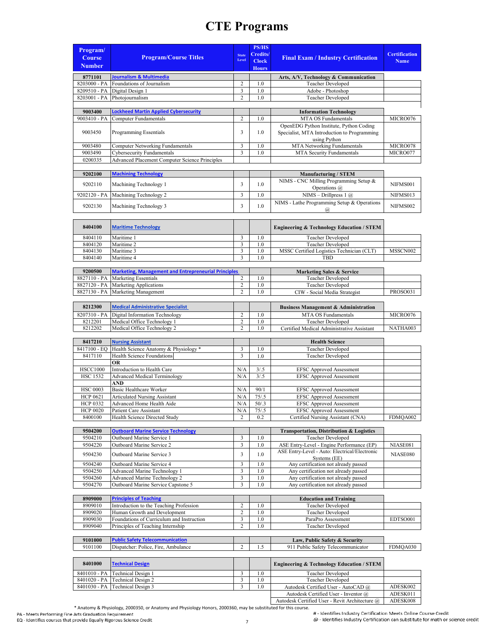| Program/<br><b>Course</b><br><b>Number</b> | <b>Program/Course Titles</b>                                      | <b>State</b><br>Level   | <b>PS/HS</b><br>Credits/<br><b>Clock</b><br><b>Hours</b> | <b>Final Exam / Industry Certification</b>                                                             | <b>Certification</b><br><b>Name</b> |
|--------------------------------------------|-------------------------------------------------------------------|-------------------------|----------------------------------------------------------|--------------------------------------------------------------------------------------------------------|-------------------------------------|
| 8771101                                    | Journalism & Multimedia                                           |                         |                                                          | Arts, A/V, Technology & Communication                                                                  |                                     |
| 8203000 - PA                               | Foundations of Journalism                                         | $\overline{\mathbf{c}}$ | 1.0                                                      | Teacher Developed                                                                                      |                                     |
| 8209510 - PA<br>8203001 - PA               | Digital Design 1<br>Photojournalism                               | 3<br>$\overline{c}$     | 1.0<br>1.0                                               | Adobe - Photoshop<br>Teacher Developed                                                                 |                                     |
|                                            |                                                                   |                         |                                                          |                                                                                                        |                                     |
| 9003400                                    | Lockheed Martin Applied Cybersecurity                             |                         |                                                          | <b>Information Technology</b>                                                                          |                                     |
| 9003410 - PA                               | Computer Fundamentals                                             | $\overline{c}$          | 1.0                                                      | MTA OS Fundamentals                                                                                    | MICRO076                            |
| 9003450                                    | Programming Essentials                                            | 3                       | 1.0                                                      | OpenEDG Python Institute, Python Coding<br>Specialist, MTA Introduction to Programming<br>using Python |                                     |
| 9003480                                    | <b>Computer Networking Fundamentals</b>                           | 3                       | 1.0                                                      | MTA Networking Fundamentals                                                                            | MICRO078                            |
| 9003490                                    | <b>Cybersecurity Fundamentals</b>                                 | $\overline{\mathbf{3}}$ | 1.0                                                      | MTA Security Fundamentals                                                                              | MICRO077                            |
| 0200335                                    | <b>Advanced Placement Computer Science Principles</b>             |                         |                                                          |                                                                                                        |                                     |
| 9202100                                    | <b>Machining Technology</b>                                       |                         |                                                          | <b>Manufacturing / STEM</b>                                                                            |                                     |
|                                            |                                                                   |                         |                                                          | NIMS - CNC Milling Programming Setup &                                                                 |                                     |
| 9202110                                    | Machining Technology 1                                            | 3                       | 1.0                                                      | Operations @                                                                                           | NIFMS001                            |
| 9202120 - PA                               | Machining Technology 2                                            | 3                       | 1.0                                                      | NIMS - Drillpress $1$ $(a)$                                                                            | NIFMS013                            |
| 9202130                                    | Machining Technology 3                                            | 3                       | 1.0                                                      | NIMS - Lathe Programming Setup & Operations                                                            | NIFMS002                            |
|                                            |                                                                   |                         |                                                          | $\omega$                                                                                               |                                     |
| 8404100                                    | <b>Maritime Technology</b>                                        |                         |                                                          | <b>Engineering &amp; Technology Education / STEM</b>                                                   |                                     |
| 8404110                                    | Maritime 1                                                        | 3                       | 1.0                                                      | <b>Teacher Developed</b>                                                                               |                                     |
| 8404120                                    | Maritime 2                                                        | 3                       | 1.0                                                      | <b>Teacher Developed</b>                                                                               |                                     |
| 8404130<br>8404140                         | Maritime 3<br>Maritime 4                                          | 3<br>3                  | 1.0<br>1.0                                               | MSSC Certified Logistics Technician (CLT)<br>TBD                                                       | MSSCN002                            |
|                                            |                                                                   |                         |                                                          |                                                                                                        |                                     |
| 9200500                                    | <b>Marketing, Management and Entrepreneurial Principles</b>       |                         |                                                          | <b>Marketing Sales &amp; Service</b>                                                                   |                                     |
| 8827110 - PA                               | <b>Marketing Essentials</b>                                       | $\overline{c}$          | 1.0                                                      | Teacher Developed                                                                                      |                                     |
| 8827120 - PA                               | Marketing Applications                                            | $\overline{c}$          | 1.0                                                      | Teacher Developed                                                                                      |                                     |
| 8827130 - PA                               | Marketing Management                                              | $\overline{c}$          | 1.0                                                      | CIW - Social Media Strategist                                                                          | PROSO031                            |
| 8212300                                    | <b>Medical Administrative Specialist</b>                          |                         |                                                          | <b>Business Management &amp; Administration</b>                                                        |                                     |
| 8207310 - PA                               | Digital Information Technology                                    | 2                       | 1.0                                                      | MTA OS Fundamentals                                                                                    | MICRO076                            |
| 8212201                                    | Medical Office Technology 1                                       | $\overline{c}$          | 1.0                                                      | Teacher Developed                                                                                      |                                     |
| 8212202                                    | Medical Office Technology 2                                       | 2                       | 1.0                                                      | Certified Medical Administrative Assistant                                                             | NATHA003                            |
| 8417210                                    |                                                                   |                         |                                                          | <b>Health Science</b>                                                                                  |                                     |
| 8417100 - EQ                               | <b>Nursing Assistant</b><br>Health Science Anatomy & Physiology * | 3                       | 1.0                                                      | <b>Teacher Developed</b>                                                                               |                                     |
| 8417110                                    | Health Science Foundations                                        | 3                       | 1.0                                                      | <b>Teacher Developed</b>                                                                               |                                     |
|                                            | OR                                                                |                         |                                                          |                                                                                                        |                                     |
| <b>HSCC1000</b>                            | Introduction to Health Care                                       | N/A                     | 3/.5                                                     | <b>EFSC Approved Assessment</b>                                                                        |                                     |
| <b>HSC 1532</b>                            | <b>Advanced Medical Terminology</b><br>AND                        | N/A                     | 3/.5                                                     | <b>EFSC Approved Assessment</b>                                                                        |                                     |
| <b>HSC 0003</b>                            | Basic Healthcare Worker                                           | N/A                     | 90/1                                                     | <b>EFSC Approved Assessment</b>                                                                        |                                     |
| <b>HCP 0621</b>                            | <b>Articulated Nursing Assistant</b>                              | N/A                     | 75/0.5                                                   | <b>EFSC Approved Assessment</b>                                                                        |                                     |
| <b>HCP 0332</b>                            | Advanced Home Health Aide                                         | N/A                     | 50/3                                                     | <b>EFSC Approved Assessment</b>                                                                        |                                     |
| <b>HCP 0020</b>                            | Patient Care Assistant                                            | N/A                     | 75/0.5                                                   | <b>EFSC Approved Assessment</b>                                                                        |                                     |
| 8400100                                    | Health Science Directed Study                                     | $\overline{c}$          | 0.2                                                      | Certified Nursing Assistant (CNA)                                                                      | FDMQA002                            |
| 9504200                                    | <b>Outboard Marine Service Technology</b>                         |                         |                                                          | Transportation, Distribution & Logistics                                                               |                                     |
| 9504210                                    | Outboard Marine Service 1                                         | 3                       | 1.0                                                      | <b>Teacher Developed</b>                                                                               |                                     |
| 9504220                                    | Outboard Marine Service 2                                         | 3                       | 1.0                                                      | ASE Entry-Level - Engine Performance (EP)                                                              | NIASE081                            |
| 9504230                                    | Outboard Marine Service 3                                         | 3                       | 1.0                                                      | ASE Entry-Level - Auto: Electrical/Electronic                                                          | NIASE080                            |
| 9504240                                    | Outboard Marine Service 4                                         | 3                       | 1.0                                                      | Systems (EE)<br>Any certification not already passed                                                   |                                     |
| 9504250                                    | Advanced Marine Technology 1                                      | 3                       | $1.0\,$                                                  | Any certification not already passed                                                                   |                                     |
| 9504260                                    | <b>Advanced Marine Technology 2</b>                               | 3                       | 1.0                                                      | Any certification not already passed                                                                   |                                     |
| 9504270                                    | Outboard Marine Service Capstone 5                                | 3                       | 1.0                                                      | Any certification not already passed                                                                   |                                     |
| 8909000                                    | <b>Principles of Teaching</b>                                     |                         |                                                          | <b>Education and Training</b>                                                                          |                                     |
| 8909010                                    | Introduction to the Teaching Profession                           | $\overline{\mathbf{c}}$ | 1.0                                                      | <b>Teacher Developed</b>                                                                               |                                     |
| 8909020                                    | Human Growth and Development                                      | 2                       | 1.0                                                      | Teacher Developed                                                                                      |                                     |
| 8909030                                    | Foundations of Curriculum and Instruction                         | 3                       | 1.0                                                      | ParaPro Assessment                                                                                     | EDTSO001                            |
| 8909040                                    | Principles of Teaching Internship                                 | $\overline{c}$          | 1.0                                                      | Teacher Developed                                                                                      |                                     |
| 9101000                                    | <b>Public Safety Telecommunication</b>                            |                         |                                                          |                                                                                                        |                                     |
| 9101100                                    | Dispatcher: Police, Fire, Ambulance                               | $\overline{2}$          | 1.5                                                      | Law, Public Safety & Security<br>911 Public Safety Telecommunicator                                    | FDMQA030                            |
|                                            |                                                                   |                         |                                                          |                                                                                                        |                                     |
| 8401000                                    | <b>Technical Design</b>                                           |                         |                                                          | <b>Engineering &amp; Technology Education / STEM</b>                                                   |                                     |
| 8401010 - PA<br>8401020 - PA               | Technical Design 1<br>Technical Design 2                          | 3<br>3                  | 1.0<br>1.0                                               | Teacher Developed<br>Teacher Developed                                                                 |                                     |
| 8401030 - PA                               | Technical Design 3                                                | 3                       | 1.0                                                      | Autodesk Certified User - AutoCAD @                                                                    | ADESK002                            |
|                                            |                                                                   |                         |                                                          | Autodesk Certified User - Inventor @                                                                   | ADESK011                            |

\* Anatomy & Physiology, 2000350, or Anatomy and Physiology Honors, 2000360, may be substituted for this course.

# - Identifies Industry Certification Meets Online Course Credit<br>@ - Identifies Industry Certification can substitute for math or science credit

Autodesk Certified User - Revit Architecture @ ADESK008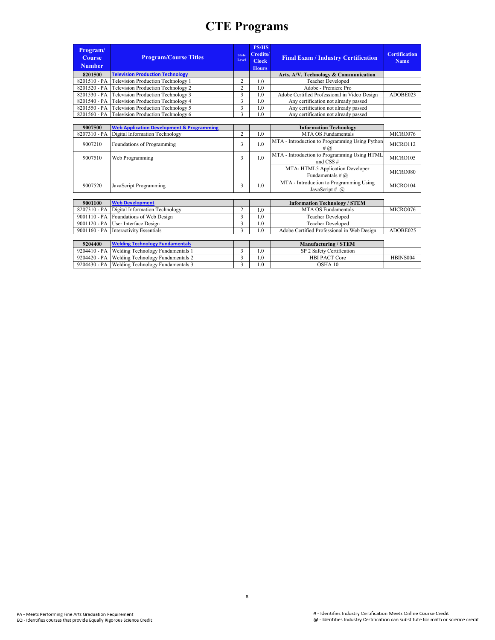| Program/<br>Course<br><b>Number</b> | <b>Program/Course Titles</b>                    | <b>State</b><br>Level | <b>PS/HS</b><br>Credits/<br><b>Clock</b><br><b>Hours</b> | <b>Final Exam / Industry Certification</b>   | <b>Certification</b><br><b>Name</b> |
|-------------------------------------|-------------------------------------------------|-----------------------|----------------------------------------------------------|----------------------------------------------|-------------------------------------|
| 8201500                             | <b>Television Production Technology</b>         |                       |                                                          | Arts, A/V, Technology & Communication        |                                     |
|                                     | 8201510 - PA Television Production Technology 1 |                       | 1.0                                                      | Teacher Developed                            |                                     |
|                                     | 8201520 - PA Television Production Technology 2 |                       | 1.0                                                      | Adobe - Premiere Pro                         |                                     |
|                                     | 8201530 - PA Television Production Technology 3 |                       | 1.0                                                      | Adobe Certified Professional in Video Design | ADOBE023                            |
|                                     | 8201540 - PA Television Production Technology 4 |                       | 1.0                                                      | Any certification not already passed         |                                     |
|                                     | 8201550 - PA Television Production Technology 5 |                       | 1.0                                                      | Any certification not already passed         |                                     |
|                                     | 8201560 - PA Television Production Technology 6 |                       | 1.0                                                      | Any certification not already passed         |                                     |
|                                     |                                                 |                       |                                                          |                                              |                                     |

| 9007500 | <b>Web Application Development &amp; Programming</b> |     | <b>Information Technology</b>                                 |          |
|---------|------------------------------------------------------|-----|---------------------------------------------------------------|----------|
|         | 8207310 - PA Digital Information Technology          | 1.0 | MTA OS Fundamentals                                           | MICRO076 |
| 9007210 | Foundations of Programming                           | 1.0 | MTA - Introduction to Programming Using Python<br># (a)       | MICRO112 |
| 9007510 | Web Programming                                      | 1.0 | MTA - Introduction to Programming Using HTML<br>and CSS $#$   | MICRO105 |
|         |                                                      |     | MTA-HTML5 Application Developer<br>Fundamentals # $\omega$    | MICRO080 |
| 9007520 | JavaScript Programming                               | 1.0 | MTA - Introduction to Programming Using<br>JavaScript # $(a)$ | MICRO104 |

| 9001100 | <b>Web Development</b>                      |     | <b>Information Technology / STEM</b>       |          |
|---------|---------------------------------------------|-----|--------------------------------------------|----------|
|         | 8207310 - PA Digital Information Technology | 1.0 | MTA OS Fundamentals                        | MICRO076 |
|         | 9001110 - PA Foundations of Web Design      | 1.0 | Teacher Developed                          |          |
|         | 9001120 - PA User Interface Design          | 1.0 | Teacher Developed                          |          |
|         | 9001160 - PA Interactivity Essentials       | 1.0 | Adobe Certified Professional in Web Design | ADOBE025 |

| 9204400 | <b>Welding Technology Fundamentals</b>         |     | <b>Manufacturing / STEM</b> |          |
|---------|------------------------------------------------|-----|-----------------------------|----------|
|         | 9204410 - PA Welding Technology Fundamentals 1 |     | SP 2 Safety Certification   |          |
|         | 9204420 - PA Welding Technology Fundamentals 2 | 1.0 | <b>HBI PACT Core</b>        | HBINS004 |
|         | 9204430 - PA Welding Technology Fundamentals 3 | .0  | OSHA 10                     |          |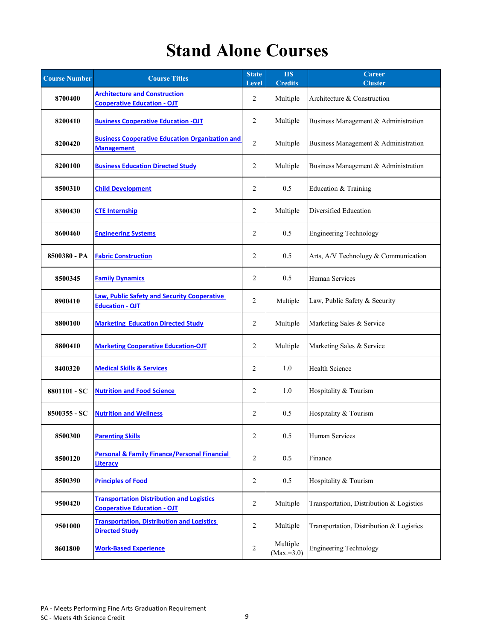## **Stand Alone Courses**

| <b>Course Number</b> | <b>Course Titles</b>                                                                   | <b>State</b><br><b>Level</b> | <b>HS</b><br><b>Credits</b> | <b>Career</b><br><b>Cluster</b>          |  |
|----------------------|----------------------------------------------------------------------------------------|------------------------------|-----------------------------|------------------------------------------|--|
| 8700400              | <b>Architecture and Construction</b><br><b>Cooperative Education - OJT</b>             | 2                            | Multiple                    | Architecture & Construction              |  |
| 8200410              | <b>Business Cooperative Education -OJT</b>                                             | 2                            | Multiple                    | Business Management & Administration     |  |
| 8200420              | <b>Business Cooperative Education Organization and</b><br><b>Management</b>            | $\overline{2}$               | Multiple                    | Business Management & Administration     |  |
| 8200100              | <b>Business Education Directed Study</b>                                               | 2                            | Multiple                    | Business Management & Administration     |  |
| 8500310              | <b>Child Development</b>                                                               | $\overline{2}$               | 0.5                         | Education & Training                     |  |
| 8300430              | <b>CTE Internship</b>                                                                  | 2                            | Multiple                    | Diversified Education                    |  |
| 8600460              | <b>Engineering Systems</b>                                                             | $\overline{2}$               | 0.5                         | <b>Engineering Technology</b>            |  |
| 8500380 - PA         | <b>Fabric Construction</b>                                                             | 2                            | 0.5                         | Arts, A/V Technology & Communication     |  |
| 8500345              | <b>Family Dynamics</b>                                                                 | 2                            | 0.5                         | Human Services                           |  |
| 8900410              | <b>Law, Public Safety and Security Cooperative</b><br><b>Education - OJT</b>           | 2                            | Multiple                    | Law, Public Safety & Security            |  |
| 8800100              | <b>Marketing Education Directed Study</b>                                              | 2                            | Multiple                    | Marketing Sales & Service                |  |
| 8800410              | <b>Marketing Cooperative Education-OJT</b>                                             | 2                            | Multiple                    | Marketing Sales & Service                |  |
| 8400320              | <b>Medical Skills &amp; Services</b>                                                   | $\overline{2}$               | 1.0                         | Health Science                           |  |
| 8801101 - SC         | <b>Nutrition and Food Science</b>                                                      | 2                            | 1.0                         | Hospitality & Tourism                    |  |
| 8500355 - SC         | <b>Nutrition and Wellness</b>                                                          | $\overline{2}$               | 0.5                         | Hospitality & Tourism                    |  |
| 8500300              | <b>Parenting Skills</b>                                                                | $\overline{2}$               | 0.5                         | Human Services                           |  |
| 8500120              | <b>Personal &amp; Family Finance/Personal Financial</b><br>Literacy                    | $\overline{2}$               | 0.5                         | Finance                                  |  |
| 8500390              | <b>Principles of Food</b>                                                              | 2                            | 0.5                         | Hospitality & Tourism                    |  |
| 9500420              | <b>Transportation Distribution and Logistics</b><br><b>Cooperative Education - OJT</b> | 2                            | Multiple                    | Transportation, Distribution & Logistics |  |
| 9501000              | <b>Transportation, Distribution and Logistics</b><br><b>Directed Study</b>             | $\overline{2}$               | Multiple                    | Transportation, Distribution & Logistics |  |
| 8601800              | <b>Work-Based Experience</b>                                                           | 2                            | Multiple<br>$(Max = 3.0)$   | <b>Engineering Technology</b>            |  |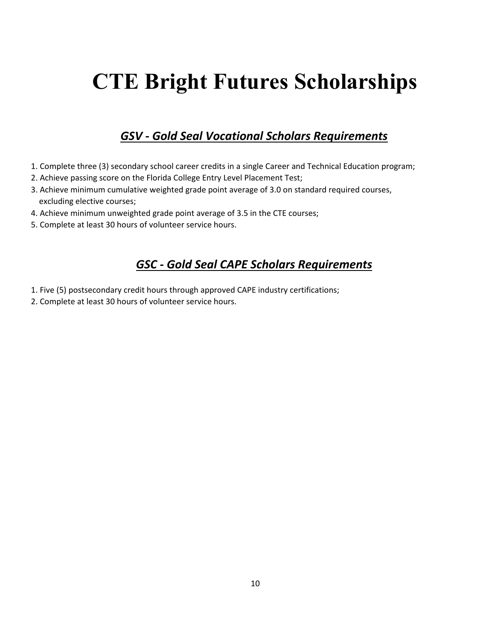# **CTE Bright Futures Scholarships**

### *GSV - Gold Seal Vocational Scholars Requirements*

- 1. Complete three (3) secondary school career credits in a single Career and Technical Education program;
- 2. Achieve passing score on the Florida College Entry Level Placement Test;
- 3. Achieve minimum cumulative weighted grade point average of 3.0 on standard required courses, excluding elective courses;
- 4. Achieve minimum unweighted grade point average of 3.5 in the CTE courses;
- 5. Complete at least 30 hours of volunteer service hours.

### *GSC - Gold Seal CAPE Scholars Requirements*

- 1. Five (5) postsecondary credit hours through approved CAPE industry certifications;
- 2. Complete at least 30 hours of volunteer service hours.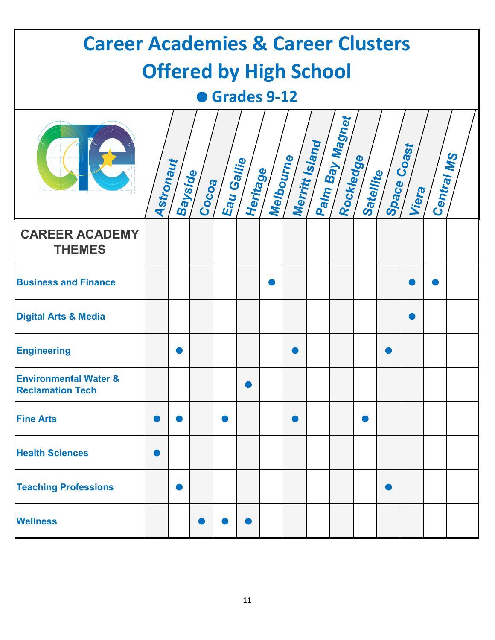